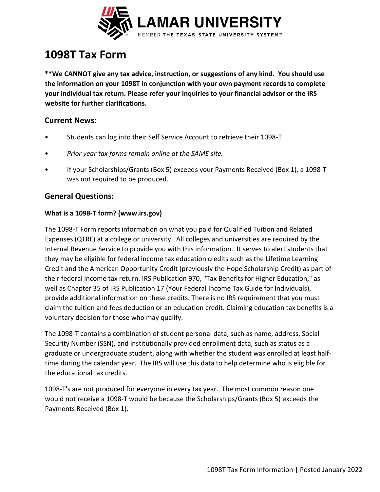

# **1098T Tax Form**

**\*\*We CANNOT give any tax advice, instruction, or suggestions of any kind. You should use the information on your 1098T in conjunction with your own payment records to complete your individual tax return. Please refer your inquiries to your financial advisor or the IRS website for further clarifications.**

#### **Current News:**

- Students can log into their Self Service Account to retrieve their 1098-T
- *Prior year tax forms remain online at the SAME site.*
- If your Scholarships/Grants (Box 5) exceeds your Payments Received (Box 1), a 1098-T was not required to be produced.

### **General Questions:**

#### **What is a 1098-T form? (www.irs.gov)**

The 1098-T Form reports information on what you paid for Qualified Tuition and Related Expenses (QTRE) at a college or university. All colleges and universities are required by the Internal Revenue Service to provide you with this information. It serves to alert students that they may be eligible for federal income tax education credits such as the Lifetime Learning Credit and the American Opportunity Credit (previously the Hope Scholarship Credit) as part of their federal income tax return. IRS Publication 970, "Tax Benefits for Higher Education," as well as Chapter 35 of IRS Publication 17 (Your Federal Income Tax Guide for Individuals), provide additional information on these credits. There is no IRS requirement that you must claim the tuition and fees deduction or an education credit. Claiming education tax benefits is a voluntary decision for those who may qualify.

The 1098-T contains a combination of student personal data, such as name, address, Social Security Number (SSN), and institutionally provided enrollment data, such as status as a graduate or undergraduate student, along with whether the student was enrolled at least halftime during the calendar year. The IRS will use this data to help determine who is eligible for the educational tax credits.

1098-T's are not produced for everyone in every tax year. The most common reason one would not receive a 1098-T would be because the Scholarships/Grants (Box 5) exceeds the Payments Received (Box 1).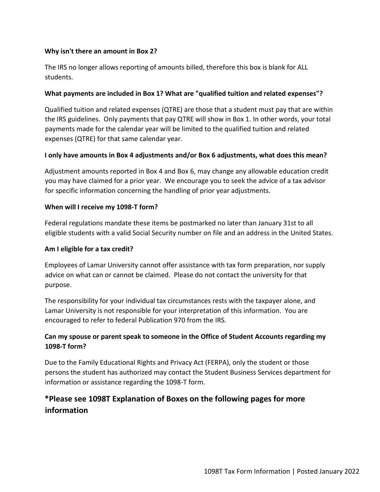#### **Why isn't there an amount in Box 2?**

The IRS no longer allows reporting of amounts billed, therefore this box is blank for ALL students.

#### **What payments are included in Box 1? What are "qualified tuition and related expenses"?**

Qualified tuition and related expenses (QTRE) are those that a student must pay that are within the IRS guidelines. Only payments that pay QTRE will show in Box 1. In other words, your total payments made for the calendar year will be limited to the qualified tuition and related expenses (QTRE) for that same calendar year.

#### **I only have amounts in Box 4 adjustments and/or Box 6 adjustments, what does this mean?**

Adjustment amounts reported in Box 4 and Box 6, may change any allowable education credit you may have claimed for a prior year. We encourage you to seek the advice of a tax advisor for specific information concerning the handling of prior year adjustments.

#### **When will I receive my 1098-T form?**

Federal regulations mandate these items be postmarked no later than January 31st to all eligible students with a valid Social Security number on file and an address in the United States.

#### **Am I eligible for a tax credit?**

Employees of Lamar University cannot offer assistance with tax form preparation, nor supply advice on what can or cannot be claimed. Please do not contact the university for that purpose.

The responsibility for your individual tax circumstances rests with the taxpayer alone, and Lamar University is not responsible for your interpretation of this information. You are encouraged to refer to federal Publication 970 from the IRS.

#### **Can my spouse or parent speak to someone in the Office of Student Accounts regarding my 1098-T form?**

Due to the Family Educational Rights and Privacy Act (FERPA), only the student or those persons the student has authorized may contact the Student Business Services department for information or assistance regarding the 1098-T form.

# **\*Please see 1098T Explanation of Boxes on the following pages for more information**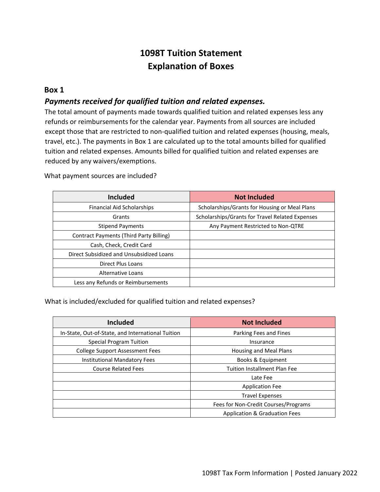# **1098T Tuition Statement Explanation of Boxes**

#### **Box 1**

#### *Payments received for qualified tuition and related expenses.*

The total amount of payments made towards qualified tuition and related expenses less any refunds or reimbursements for the calendar year. Payments from all sources are included except those that are restricted to non-qualified tuition and related expenses (housing, meals, travel, etc.). The payments in Box 1 are calculated up to the total amounts billed for qualified tuition and related expenses. Amounts billed for qualified tuition and related expenses are reduced by any waivers/exemptions.

What payment sources are included?

| <b>Included</b>                                | <b>Not Included</b>                             |
|------------------------------------------------|-------------------------------------------------|
| <b>Financial Aid Scholarships</b>              | Scholarships/Grants for Housing or Meal Plans   |
| Grants                                         | Scholarships/Grants for Travel Related Expenses |
| <b>Stipend Payments</b>                        | Any Payment Restricted to Non-QTRE              |
| <b>Contract Payments (Third Party Billing)</b> |                                                 |
| Cash, Check, Credit Card                       |                                                 |
| Direct Subsidized and Unsubsidized Loans       |                                                 |
| <b>Direct Plus Loans</b>                       |                                                 |
| Alternative Loans                              |                                                 |
| Less any Refunds or Reimbursements             |                                                 |

What is included/excluded for qualified tuition and related expenses?

| <b>Included</b>                                   | <b>Not Included</b>                  |
|---------------------------------------------------|--------------------------------------|
| In-State, Out-of-State, and International Tuition | Parking Fees and Fines               |
| <b>Special Program Tuition</b>                    | Insurance                            |
| <b>College Support Assessment Fees</b>            | <b>Housing and Meal Plans</b>        |
| <b>Institutional Mandatory Fees</b>               | Books & Equipment                    |
| <b>Course Related Fees</b>                        | <b>Tuition Installment Plan Fee</b>  |
|                                                   | Late Fee                             |
|                                                   | <b>Application Fee</b>               |
|                                                   | <b>Travel Expenses</b>               |
|                                                   | Fees for Non-Credit Courses/Programs |
|                                                   | Application & Graduation Fees        |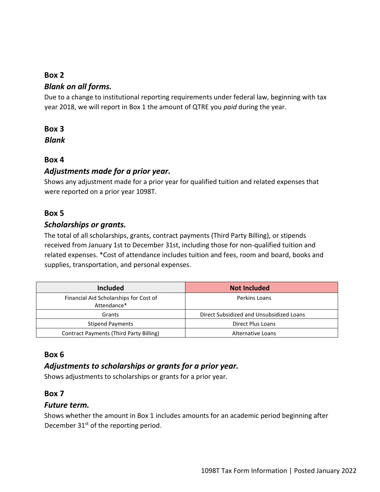### **Box 2**

### *Blank on all forms.*

Due to a change to institutional reporting requirements under federal law, beginning with tax year 2018, we will report in Box 1 the amount of QTRE you *paid* during the year.

### **Box 3**

*Blank*

# **Box 4**

### *Adjustments made for a prior year.*

Shows any adjustment made for a prior year for qualified tuition and related expenses that were reported on a prior year 1098T.

### **Box 5**

### *Scholarships or grants.*

The total of all scholarships, grants, contract payments (Third Party Billing), or stipends received from January 1st to December 31st, including those for non-qualified tuition and related expenses. \*Cost of attendance includes tuition and fees, room and board, books and supplies, transportation, and personal expenses.

| <b>Included</b>                                       | <b>Not Included</b>                      |
|-------------------------------------------------------|------------------------------------------|
| Financial Aid Scholarships for Cost of<br>Attendance* | Perkins Loans                            |
| Grants                                                | Direct Subsidized and Unsubsidized Loans |
| <b>Stipend Payments</b>                               | Direct Plus Loans                        |
| Contract Payments (Third Party Billing)               | <b>Alternative Loans</b>                 |

# **Box 6**

# *Adjustments to scholarships or grants for a prior year.*

Shows adjustments to scholarships or grants for a prior year.

### **Box 7**

### *Future term.*

Shows whether the amount in Box 1 includes amounts for an academic period beginning after December 31<sup>st</sup> of the reporting period.